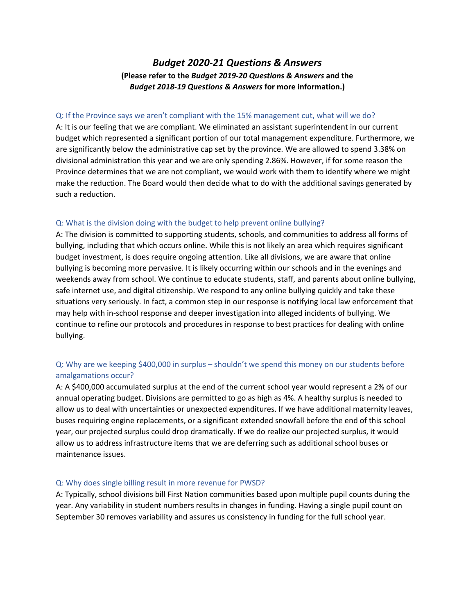# *Budget 2020‐21 Questions & Answers* **(Please refer to the** *Budget 2019‐20 Questions & Answers* **and the**  *Budget 2018‐19 Questions & Answers* **for more information.)**

### Q: If the Province says we aren't compliant with the 15% management cut, what will we do?

A: It is our feeling that we are compliant. We eliminated an assistant superintendent in our current budget which represented a significant portion of our total management expenditure. Furthermore, we are significantly below the administrative cap set by the province. We are allowed to spend 3.38% on divisional administration this year and we are only spending 2.86%. However, if for some reason the Province determines that we are not compliant, we would work with them to identify where we might make the reduction. The Board would then decide what to do with the additional savings generated by such a reduction.

### Q: What is the division doing with the budget to help prevent online bullying?

A: The division is committed to supporting students, schools, and communities to address all forms of bullying, including that which occurs online. While this is not likely an area which requires significant budget investment, is does require ongoing attention. Like all divisions, we are aware that online bullying is becoming more pervasive. It is likely occurring within our schools and in the evenings and weekends away from school. We continue to educate students, staff, and parents about online bullying, safe internet use, and digital citizenship. We respond to any online bullying quickly and take these situations very seriously. In fact, a common step in our response is notifying local law enforcement that may help with in‐school response and deeper investigation into alleged incidents of bullying. We continue to refine our protocols and procedures in response to best practices for dealing with online bullying.

# Q: Why are we keeping \$400,000 in surplus – shouldn't we spend this money on our students before amalgamations occur?

A: A \$400,000 accumulated surplus at the end of the current school year would represent a 2% of our annual operating budget. Divisions are permitted to go as high as 4%. A healthy surplus is needed to allow us to deal with uncertainties or unexpected expenditures. If we have additional maternity leaves, buses requiring engine replacements, or a significant extended snowfall before the end of this school year, our projected surplus could drop dramatically. If we do realize our projected surplus, it would allow us to address infrastructure items that we are deferring such as additional school buses or maintenance issues.

# Q: Why does single billing result in more revenue for PWSD?

A: Typically, school divisions bill First Nation communities based upon multiple pupil counts during the year. Any variability in student numbers results in changes in funding. Having a single pupil count on September 30 removes variability and assures us consistency in funding for the full school year.